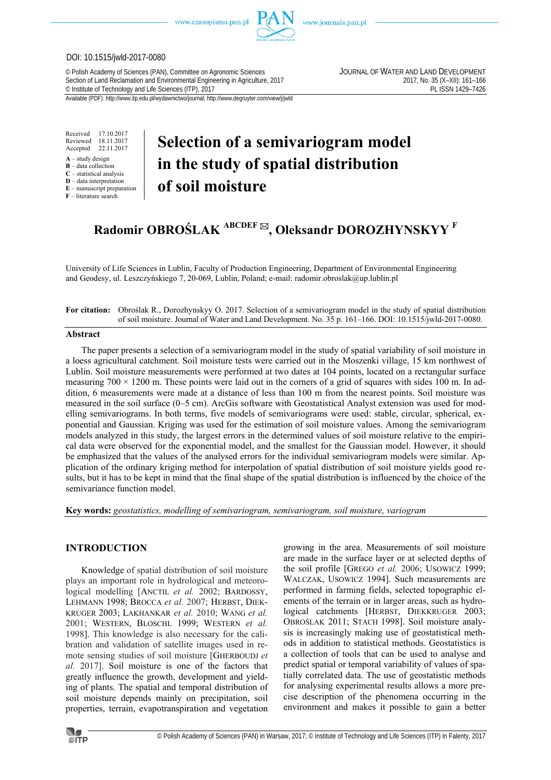

www.journals.pan.pl

# DOI: 10.1515/jwld-2017-0080

© Polish Academy of Sciences (PAN), Committee on Agronomic Sciences JOURNAL OF WATER AND LAND DEVELOPMENT Section of Land Reclamation and Environmental Engineering in Agriculture, 2017<br>
© Institute of Technology and Life Sciences (ITP), 2017<br>
PL ISSN 1429-7426 <sup>©</sup> Institute of Technology and Life Sciences (ITP), 2017

Available (PDF): http://www.itp.edu.pl/wydawnictwo/journal; http://www.degruyter.com/view/j/jwld

Received 17.10.2017 Reviewed 18.11.2017<br>Accepted 22.11.2017 22.11.2017

- **A** study design
- **B** data collection **C** – statistical analysis
- **D** data interpretation
- **E** manuscript preparation

#### **F** – literature search

# **Selection of a semivariogram model in the study of spatial distribution of soil moisture**

# **Radomir OBROŚLAK ABCDEF , Oleksandr DOROZHYNSKYY F**

University of Life Sciences in Lublin, Faculty of Production Engineering, Department of Environmental Engineering and Geodesy, ul. Leszczyńskiego 7, 20-069, Lublin, Poland; e-mail: radomir.obroslak@up.lublin.pl

# **For citation:** Obroślak R., Dorozhynskyy O. 2017. Selection of a semivariogram model in the study of spatial distribution of soil moisture. Journal of Water and Land Development. No. 35 p. 161–166. DOI: 10.1515/jwld-2017-0080.

#### **Abstract**

The paper presents a selection of a semivariogram model in the study of spatial variability of soil moisture in a loess agricultural catchment. Soil moisture tests were carried out in the Moszenki village, 15 km northwest of Lublin. Soil moisture measurements were performed at two dates at 104 points, located on a rectangular surface measuring  $700 \times 1200$  m. These points were laid out in the corners of a grid of squares with sides 100 m. In addition, 6 measurements were made at a distance of less than 100 m from the nearest points. Soil moisture was measured in the soil surface (0–5 cm). ArcGis software with Geostatistical Analyst extension was used for modelling semivariograms. In both terms, five models of semivariograms were used: stable, circular, spherical, exponential and Gaussian. Kriging was used for the estimation of soil moisture values. Among the semivariogram models analyzed in this study, the largest errors in the determined values of soil moisture relative to the empirical data were observed for the exponential model, and the smallest for the Gaussian model. However, it should be emphasized that the values of the analysed errors for the individual semivariogram models were similar. Application of the ordinary kriging method for interpolation of spatial distribution of soil moisture yields good results, but it has to be kept in mind that the final shape of the spatial distribution is influenced by the choice of the semivariance function model.

**Key words:** *geostatistics, modelling of semivariogram, semivariogram, soil moisture, variogram* 

# **INTRODUCTION**

Knowledge of spatial distribution of soil moisture plays an important role in hydrological and meteorological modelling [ANCTIL *et al.* 2002; BARDOSSY, LEHMANN 1998; BROCCA *et al.* 2007; HERBST, DIEK-KRUGER 2003; LAKHANKAR *et al.* 2010; WANG *et al.* 2001; WESTERN, BLOSCHL 1999; WESTERN *et al.* 1998]. This knowledge is also necessary for the calibration and validation of satellite images used in remote sensing studies of soil moisture [GHERBOUDJ *et al.* 2017]. Soil moisture is one of the factors that greatly influence the growth, development and yielding of plants. The spatial and temporal distribution of soil moisture depends mainly on precipitation, soil properties, terrain, evapotranspiration and vegetation

growing in the area. Measurements of soil moisture are made in the surface layer or at selected depths of the soil profile [GREGO *et al.* 2006; USOWICZ 1999; WALCZAK, USOWICZ 1994]. Such measurements are performed in farming fields, selected topographic elements of the terrain or in larger areas, such as hydrological catchments [HERBST, DIEKKRUGER 2003; OBROŚLAK 2011; STACH 1998]. Soil moisture analysis is increasingly making use of geostatistical methods in addition to statistical methods. Geostatistics is a collection of tools that can be used to analyse and predict spatial or temporal variability of values of spatially correlated data. The use of geostatistic methods for analysing experimental results allows a more precise description of the phenomena occurring in the environment and makes it possible to gain a better

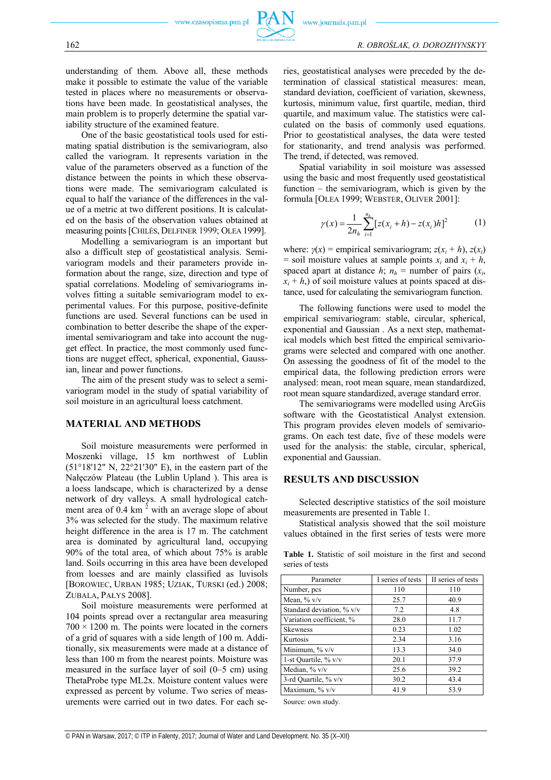understanding of them. Above all, these methods make it possible to estimate the value of the variable tested in places where no measurements or observations have been made. In geostatistical analyses, the main problem is to properly determine the spatial variability structure of the examined feature.

One of the basic geostatistical tools used for estimating spatial distribution is the semivariogram, also called the variogram. It represents variation in the value of the parameters observed as a function of the distance between the points in which these observations were made. The semivariogram calculated is equal to half the variance of the differences in the value of a metric at two different positions. It is calculated on the basis of the observation values obtained at measuring points [CHILÈS, DELFINER 1999; OLEA 1999].

Modelling a semivariogram is an important but also a difficult step of geostatistical analysis. Semivariogram models and their parameters provide information about the range, size, direction and type of spatial correlations. Modeling of semivariograms involves fitting a suitable semivariogram model to experimental values. For this purpose, positive-definite functions are used. Several functions can be used in combination to better describe the shape of the experimental semivariogram and take into account the nugget effect. In practice, the most commonly used functions are nugget effect, spherical, exponential, Gaussian, linear and power functions.

The aim of the present study was to select a semivariogram model in the study of spatial variability of soil moisture in an agricultural loess catchment.

# **MATERIAL AND METHODS**

Soil moisture measurements were performed in Moszenki village, 15 km northwest of Lublin (51°18'12" N, 22°21'30" E), in the eastern part of the Nałęczów Plateau (the Lublin Upland ). This area is a loess landscape, which is characterized by a dense network of dry valleys. A small hydrological catchment area of  $0.4 \text{ km}^2$  with an average slope of about 3% was selected for the study. The maximum relative height difference in the area is 17 m. The catchment area is dominated by agricultural land, occupying 90% of the total area, of which about 75% is arable land. Soils occurring in this area have been developed from loesses and are mainly classified as luvisols [BOROWIEC, URBAN 1985; UZIAK, TURSKI (ed.) 2008; ZUBALA, PAŁYS 2008].

Soil moisture measurements were performed at 104 points spread over a rectangular area measuring  $700 \times 1200$  m. The points were located in the corners of a grid of squares with a side length of 100 m. Additionally, six measurements were made at a distance of less than 100 m from the nearest points. Moisture was measured in the surface layer of soil  $(0-5 \text{ cm})$  using ThetaProbe type ML2x. Moisture content values were expressed as percent by volume. Two series of measurements were carried out in two dates. For each series, geostatistical analyses were preceded by the determination of classical statistical measures: mean, standard deviation, coefficient of variation, skewness, kurtosis, minimum value, first quartile, median, third quartile, and maximum value. The statistics were calculated on the basis of commonly used equations. Prior to geostatistical analyses, the data were tested for stationarity, and trend analysis was performed. The trend, if detected, was removed.

Spatial variability in soil moisture was assessed using the basic and most frequently used geostatistical function – the semivariogram, which is given by the formula [OLEA 1999; WEBSTER, OLIVER 2001]:

$$
\gamma(x) = \frac{1}{2n_h} \sum_{i=1}^{n_h} [z(x_i + h) - z(x_i)h]^2 \tag{1}
$$

where:  $\nu(x)$  = empirical semivariogram;  $z(x_i + h)$ ,  $z(x_i)$  $=$  soil moisture values at sample points  $x_i$  and  $x_i + h$ , spaced apart at distance  $h$ ;  $n_h$  = number of pairs  $(x_i)$ ,  $x_i + h$ ,) of soil moisture values at points spaced at distance, used for calculating the semivariogram function.

The following functions were used to model the empirical semivariogram: stable, circular, spherical, exponential and Gaussian . As a next step, mathematical models which best fitted the empirical semivariograms were selected and compared with one another. On assessing the goodness of fit of the model to the empirical data, the following prediction errors were analysed: mean, root mean square, mean standardized, root mean square standardized, average standard error.

The semivariograms were modelled using ArcGis software with the Geostatistical Analyst extension. This program provides eleven models of semivariograms. On each test date, five of these models were used for the analysis: the stable, circular, spherical, exponential and Gaussian.

#### **RESULTS AND DISCUSSION**

Selected descriptive statistics of the soil moisture measurements are presented in Table 1.

Statistical analysis showed that the soil moisture values obtained in the first series of tests were more

**Table 1.** Statistic of soil moisture in the first and second series of tests

| Parameter                 | I series of tests | II series of tests |
|---------------------------|-------------------|--------------------|
| Number, pcs               | 110               | 110                |
| Mean, $\%$ v/v            | 25.7              | 40.9               |
| Standard deviation, % v/v | 7.2               | 4.8                |
| Variation coefficient, %  | 28.0              | 11.7               |
| <b>Skewness</b>           | 0.23              | 1.02               |
| Kurtosis                  | 2.34              | 3.16               |
| Minimum, % v/v            | 13.3              | 34.0               |
| 1-st Quartile, $\%$ v/v   | 20.1              | 37.9               |
| Median, % v/v             | 25.6              | 39.2               |
| 3-rd Quartile, % v/v      | 30.2              | 43.4               |
| Maximum, % v/v            | 41.9              | 53.9               |

Source: own study.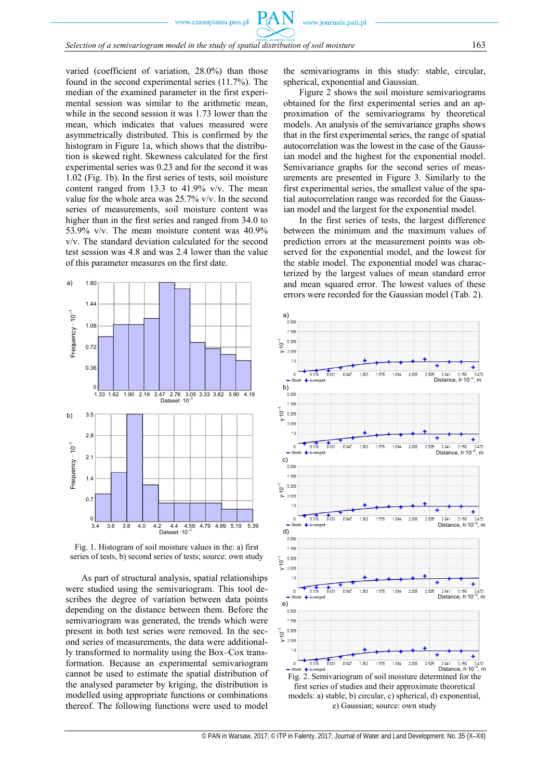varied (coefficient of variation, 28.0%) than those found in the second experimental series (11.7%). The median of the examined parameter in the first experimental session was similar to the arithmetic mean, while in the second session it was 1.73 lower than the mean, which indicates that values measured were asymmetrically distributed. This is confirmed by the histogram in Figure 1a, which shows that the distribution is skewed right. Skewness calculated for the first experimental series was 0.23 and for the second it was 1.02 (Fig. 1b). In the first series of tests, soil moisture content ranged from 13.3 to 41.9% v/v. The mean value for the whole area was 25.7% v/v. In the second series of measurements, soil moisture content was higher than in the first series and ranged from 34.0 to 53.9% v/v. The mean moisture content was 40.9% v/v. The standard deviation calculated for the second test session was 4.8 and was 2.4 lower than the value of this parameter measures on the first date.



Fig. 1. Histogram of soil moisture values in the: a) first series of tests, b) second series of tests; source: own study

As part of structural analysis, spatial relationships were studied using the semivariogram. This tool describes the degree of variation between data points depending on the distance between them. Before the semivariogram was generated, the trends which were present in both test series were removed. In the second series of measurements, the data were additionally transformed to normality using the Box–Cox transformation. Because an experimental semivariogram cannot be used to estimate the spatial distribution of the analysed parameter by kriging, the distribution is modelled using appropriate functions or combinations thereof. The following functions were used to model

the semivariograms in this study: stable, circular, spherical, exponential and Gaussian.

Figure 2 shows the soil moisture semivariograms obtained for the first experimental series and an approximation of the semivariograms by theoretical models. An analysis of the semivariance graphs shows that in the first experimental series, the range of spatial autocorrelation was the lowest in the case of the Gaussian model and the highest for the exponential model. Semivariance graphs for the second series of measurements are presented in Figure 3. Similarly to the first experimental series, the smallest value of the spatial autocorrelation range was recorded for the Gaussian model and the largest for the exponential model.

In the first series of tests, the largest difference between the minimum and the maximum values of prediction errors at the measurement points was observed for the exponential model, and the lowest for the stable model. The exponential model was characterized by the largest values of mean standard error and mean squared error. The lowest values of these errors were recorded for the Gaussian model (Tab. 2).

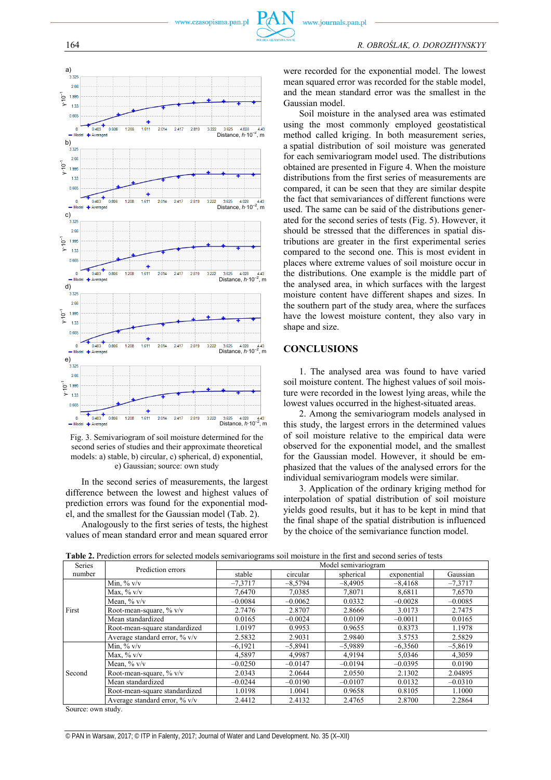

Fig. 3. Semivariogram of soil moisture determined for the second series of studies and their approximate theoretical models: a) stable, b) circular, c) spherical, d) exponential, e) Gaussian; source: own study

In the second series of measurements, the largest difference between the lowest and highest values of prediction errors was found for the exponential model, and the smallest for the Gaussian model (Tab. 2).

Analogously to the first series of tests, the highest values of mean standard error and mean squared error

were recorded for the exponential model. The lowest mean squared error was recorded for the stable model, and the mean standard error was the smallest in the Gaussian model.

Soil moisture in the analysed area was estimated using the most commonly employed geostatistical method called kriging. In both measurement series, a spatial distribution of soil moisture was generated for each semivariogram model used. The distributions obtained are presented in Figure 4. When the moisture distributions from the first series of measurements are compared, it can be seen that they are similar despite the fact that semivariances of different functions were used. The same can be said of the distributions generated for the second series of tests (Fig. 5). However, it should be stressed that the differences in spatial distributions are greater in the first experimental series compared to the second one. This is most evident in places where extreme values of soil moisture occur in the distributions. One example is the middle part of the analysed area, in which surfaces with the largest moisture content have different shapes and sizes. In the southern part of the study area, where the surfaces have the lowest moisture content, they also vary in shape and size.

# **CONCLUSIONS**

1. The analysed area was found to have varied soil moisture content. The highest values of soil moisture were recorded in the lowest lying areas, while the lowest values occurred in the highest-situated areas.

2. Among the semivariogram models analysed in this study, the largest errors in the determined values of soil moisture relative to the empirical data were observed for the exponential model, and the smallest for the Gaussian model. However, it should be emphasized that the values of the analysed errors for the individual semivariogram models were similar.

3. Application of the ordinary kriging method for interpolation of spatial distribution of soil moisture yields good results, but it has to be kept in mind that the final shape of the spatial distribution is influenced by the choice of the semivariance function model.

|  | <b>Table 2.</b> Prediction errors for selected models semivariograms soil moisture in the first and second series of tests |  |  |  |  |  |  |  |
|--|----------------------------------------------------------------------------------------------------------------------------|--|--|--|--|--|--|--|
|  |                                                                                                                            |  |  |  |  |  |  |  |

| Series | Prediction errors             | Model semivariogram |           |           |             |           |  |  |  |
|--------|-------------------------------|---------------------|-----------|-----------|-------------|-----------|--|--|--|
| number |                               | stable              | circular  | spherical | exponential | Gaussian  |  |  |  |
| First  | Min, $\%$ v/v                 | $-7,3717$           | $-8,5794$ | $-8,4905$ | $-8.4168$   | $-7,3717$ |  |  |  |
|        | Max. % $v/v$                  | 7.6470              | 7.0385    | 7.8071    | 8.6811      | 7,6570    |  |  |  |
|        | Mean, $\%$ v/v                | $-0.0084$           | $-0.0062$ | 0.0332    | $-0.0028$   | $-0.0085$ |  |  |  |
|        | Root-mean-square, $\%$ v/v    | 2.7476              | 2.8707    | 2.8666    | 3.0173      | 2.7475    |  |  |  |
|        | Mean standardized             | 0.0165              | $-0.0024$ | 0.0109    | $-0.0011$   | 0.0165    |  |  |  |
|        | Root-mean-square standardized | 1.0197              | 0.9953    | 0.9655    | 0.8373      | 1.1978    |  |  |  |
|        | Average standard error, % v/v | 2.5832              | 2.9031    | 2.9840    | 3.5753      | 2.5829    |  |  |  |
| Second | Min. $\%$ v/v                 | $-6.1921$           | $-5.8941$ | $-5.9889$ | $-6.3560$   | $-5.8619$ |  |  |  |
|        | Max. % $v/v$                  | 4,5897              | 4.9987    | 4.9194    | 5.0346      | 4.3059    |  |  |  |
|        | Mean, $\%$ v/v                | $-0.0250$           | $-0.0147$ | $-0.0194$ | $-0.0395$   | 0.0190    |  |  |  |
|        | Root-mean-square, % v/v       | 2.0343              | 2.0644    | 2.0550    | 2.1302      | 2.04895   |  |  |  |
|        | Mean standardized             | $-0.0244$           | $-0.0190$ | $-0.0107$ | 0.0132      | $-0.0310$ |  |  |  |
|        | Root-mean-square standardized | 1.0198              | 1.0041    | 0.9658    | 0.8105      | 1.1000    |  |  |  |
|        | Average standard error, % v/v | 2.4412              | 2.4132    | 2.4765    | 2.8700      | 2.2864    |  |  |  |

Source: own study.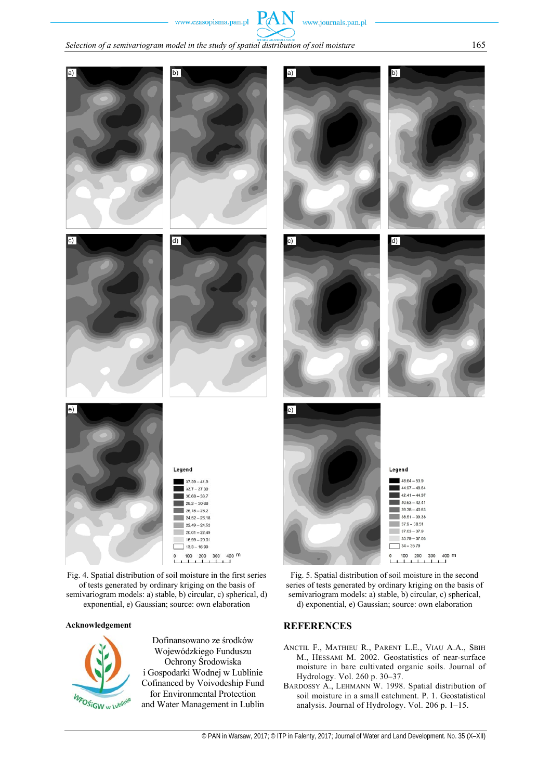www.journals.pan.pl

**PAN** 

*Selection of a semivariogram model in the study of spatial distribution of soil moisture* 165



Fig. 4. Spatial distribution of soil moisture in the first series of tests generated by ordinary kriging on the basis of semivariogram models: a) stable, b) circular, c) spherical, d) exponential, e) Gaussian; source: own elaboration

#### **Acknowledgement**



Dofinansowano ze środków Wojewódzkiego Funduszu Ochrony Środowiska i Gospodarki Wodnej w Lublinie Cofinanced by Voivodeship Fund for Environmental Protection and Water Management in Lublin

Fig. 5. Spatial distribution of soil moisture in the second series of tests generated by ordinary kriging on the basis of semivariogram models: a) stable, b) circular, c) spherical, d) exponential, e) Gaussian; source: own elaboration

# **REFERENCES**

- ANCTIL F., MATHIEU R., PARENT L.E., VIAU A.A., SBIH M., HESSAMI M. 2002. Geostatistics of near-surface moisture in bare cultivated organic soils. Journal of Hydrology. Vol. 260 p. 30–37.
- BARDOSSY A., LEHMANN W. 1998. Spatial distribution of soil moisture in a small catchment. P. 1. Geostatistical analysis. Journal of Hydrology. Vol. 206 p. 1–15.